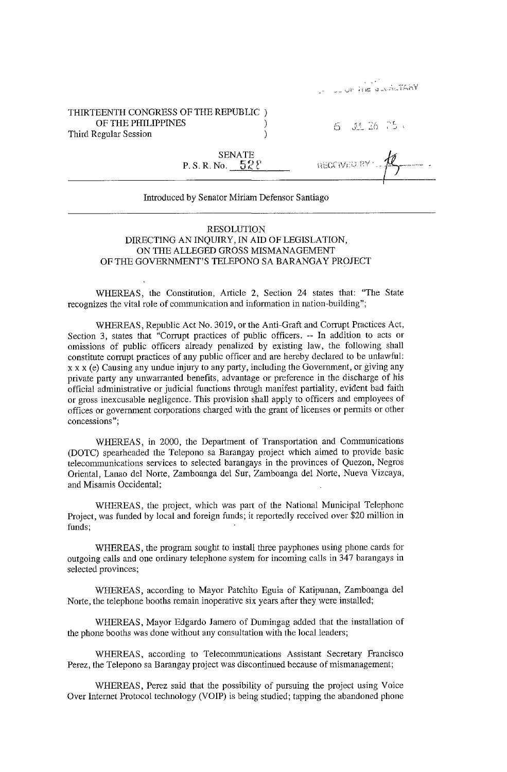|  | $1 - 1$ |                  |
|--|---------|------------------|
|  |         | Latin and market |

## THIRTEENTH CONGRESS OF THE REPUBLIC ) OF THE PHILIPPINES 1 CI ,- J~- 26ti' Third Regular Session 1

I

.... ~. SENATE P.S.R.No. **52?** &>C **jl** *<sup>f</sup>*{:;.; ?Y ' ~ .

| Introduced by Senator Miriam Defensor Santiago |  |  |  |
|------------------------------------------------|--|--|--|
|                                                |  |  |  |

## RESOLUTION DIRECTING AN INQUIRY, IN AID OF LEGISLATION, ON THE ALLEGED GROSS MISMANAGEMENT OF THE GOVERNMENT'S TELEPONO SA BARANGAY PROJECT

WHEREAS, the Constitution, Article 2, Section 24 states that: "The State recognizes the vital role of communication and information in nation-building";

WHEREAS, Republic Act No. 3019, or the Anti-Graft and Corrupt Practices Act, Section 3, states that "Corrupt practices of public officers. -- In addition to acts or omissions of public officers already penalized by existing law, the following shall constitute corrupt practices of any public officer and are hereby declared to be unlawful: x x x (e) Causing any undue injury to any party, including the Government, or giving any private party any unwarranted benefits, advantage or preference in the discharge of his official administrative or judicial functions through manifest partiality, evident bad faith or gross inexcusable negligence. This provision shall apply to officers and employees of offices or government corporations charged with the grant of licenses or permits or other concessions";

WHEREAS, in 2000, the Department of Transportation and Communications (DOTC) spearheaded the Telepono sa Barangay project which aimed to provide basic telecommunications services to selected barangays in the provinces of Quezon, Negros Oriental, Lanao del Norte, Zamboanga del Sur, Zamboanga del Norte, Nueva Vizcaya, and Misamis Occidental;

WHEREAS, the project, which was part of the National Municipal Telephone Project, was funded by local and foreign funds; it reportedly received over \$20 million in funds;

WHEREAS, the program sought to install three payphones using phone cards for outgoing calls and one ordinary telephone system for incoming calls in **347** barangays in selected provinces;

WHEREAS, according to Mayor Patchito Eguia of Katipunan, Zamboanga del Norte, the telephone booths remain inoperative six years after they were installed;

WHEREAS, Mayor Edgardo Jamero of Dumingag added that the installation of the phone booths was done without any consultation with the local leaders;

WHEREAS, according to Telecommunications Assistant Secretary Francisco Perez, the Telepono sa Barangay project was discontinued because of mismanagement;

WHEREAS, Perez said that the possibility of pursuing the project using Voice Over Internet Protocol technology (VOIP) is being studied; tapping the abandoned phone